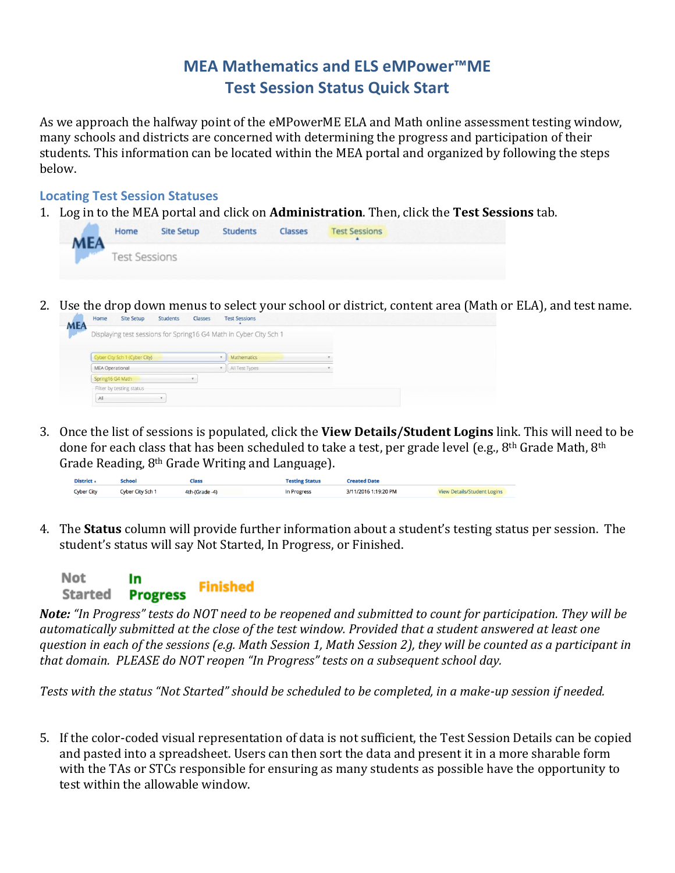## **MEA Mathematics and ELS eMPower™ME Test Session Status Quick Start**

As we approach the halfway point of the eMPowerME ELA and Math online assessment testing window, many schools and districts are concerned with determining the progress and participation of their students. This information can be located within the MEA portal and organized by following the steps below.

## **Locating Test Session Statuses**

1. Log in to the MEA portal and click on **Administration**. Then, click the **Test Sessions** tab.



2. Use the drop down menus to select your school or district, content area (Math or ELA), and test name.



3. Once the list of sessions is populated, click the **View Details/Student Logins** link. This will need to be done for each class that has been scheduled to take a test, per grade level (e.g., 8<sup>th</sup> Grade Math, 8<sup>th</sup> Grade Reading, 8th Grade Writing and Language).

| District +        | <b>School</b>    | Class          | <b>Testing Status</b> | <b>Created Date</b>  |                                    |
|-------------------|------------------|----------------|-----------------------|----------------------|------------------------------------|
| <b>Cyber City</b> | Cyber City Sch 1 | 4th-(Grade -4) | In Progress           | 3/11/2016 1:19:20 PM | <b>View Details/Student Logins</b> |

4. The **Status** column will provide further information about a student's testing status per session. The student's status will say Not Started, In Progress, or Finished.



*Note: "In Progress" tests do NOT need to be reopened and submitted to count for participation. They will be automatically submitted at the close of the test window. Provided that a student answered at least one question in each of the sessions (e.g. Math Session 1, Math Session 2), they will be counted as a participant in that domain. PLEASE do NOT reopen "In Progress" tests on a subsequent school day.*

*Tests with the status "Not Started" should be scheduled to be completed, in a make-up session if needed.*

5. If the color-coded visual representation of data is not sufficient, the Test Session Details can be copied and pasted into a spreadsheet. Users can then sort the data and present it in a more sharable form with the TAs or STCs responsible for ensuring as many students as possible have the opportunity to test within the allowable window.